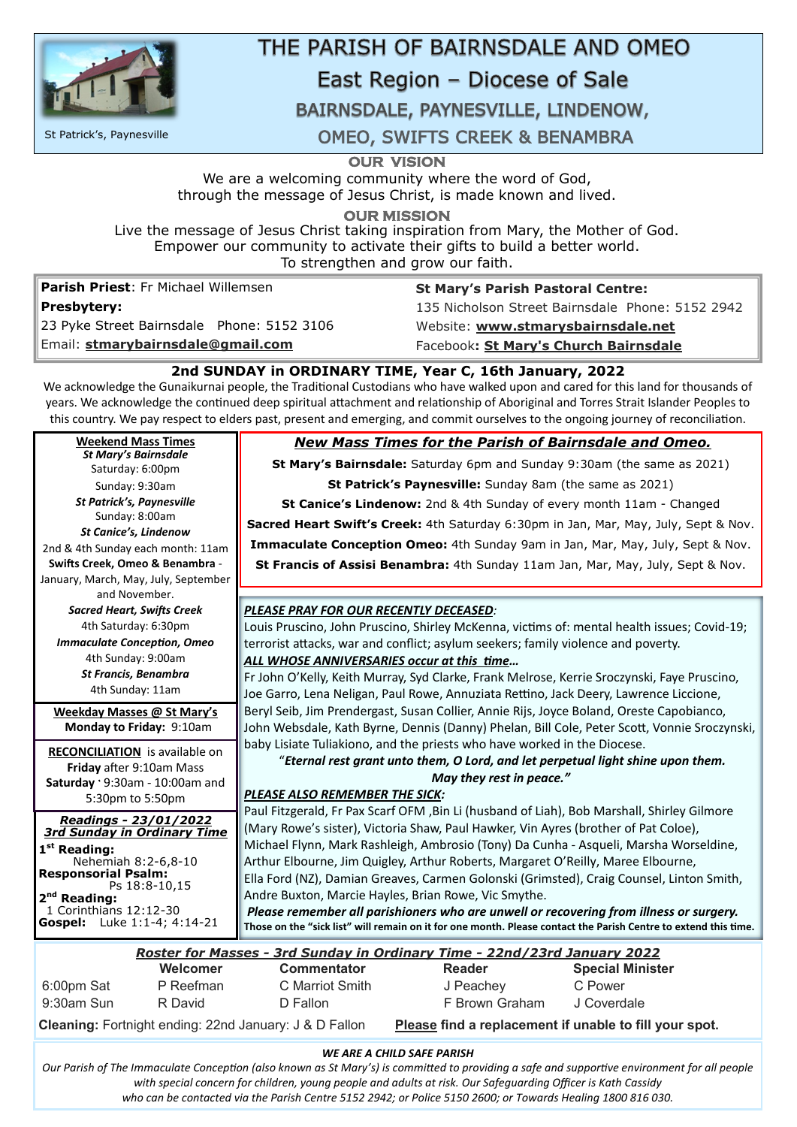

# THE PARISH OF BAIRNSDALE AND OMEO

# East Region - Diocese of Sale

# BAIRNSDALE, PAYNESVILLE, LINDENOW,

**OUR VISION** 

We are a welcoming community where the word of God, through the message of Jesus Christ, is made known and lived.

**OUR MISSION** 

Live the message of Jesus Christ taking inspiration from Mary, the Mother of God. Empower our community to activate their gifts to build a better world. To strengthen and grow our faith.

**Parish Priest**: Fr Michael Willemsen **Presbytery:** 

23 Pyke Street Bairnsdale Phone: 5152 3106

Email: **[stmarybairnsdale@gmail.com](mailto:stmarybairnsdale@gmail.com)**

**St Mary's Parish Pastoral Centre:** 135 Nicholson Street Bairnsdale Phone: 5152 2942

Website: **[www.stmarysbairnsdale.net](http://www.stmarysbairnsdale.net)**

Facebook**: St Mary's Church Bairnsdale**

# **2nd SUNDAY in ORDINARY TIME, Year C, 16th January, 2022**

We acknowledge the Gunaikurnai people, the Traditonal Custodians who have walked upon and cared for this land for thousands of years. We acknowledge the continued deep spiritual attachment and relationship of Aboriginal and Torres Strait Islander Peoples to this country. We pay respect to elders past, present and emerging, and commit ourselves to the ongoing journey of reconciliaton.

#### *PLEASE PRAY FOR OUR RECENTLY DECEASED:*

Louis Pruscino, John Pruscino, Shirley McKenna, victms of: mental health issues; Covid-19; terrorist atacks, war and confict; asylum seekers; family violence and poverty.

#### *ALL WHOSE ANNIVERSARIES occur at this tme…*

Fr John O'Kelly, Keith Murray, Syd Clarke, Frank Melrose, Kerrie Sroczynski, Faye Pruscino, Joe Garro, Lena Neligan, Paul Rowe, Annuziata Rettino, Jack Deery, Lawrence Liccione, Beryl Seib, Jim Prendergast, Susan Collier, Annie Rijs, Joyce Boland, Oreste Capobianco, John Websdale, Kath Byrne, Dennis (Danny) Phelan, Bill Cole, Peter Scott, Vonnie Sroczynski, baby Lisiate Tuliakiono, and the priests who have worked in the Diocese.

#### "*Eternal rest grant unto them, O Lord, and let perpetual light shine upon them. May they rest in peace."*

**Saturday '9:30am - 10:00am and** 5:30pm to 5:50pm

### *PLEASE ALSO REMEMBER THE SICK:*

Paul Fitzgerald, Fr Pax Scarf OFM ,Bin Li (husband of Liah), Bob Marshall, Shirley Gilmore (Mary Rowe's sister), Victoria Shaw, Paul Hawker, Vin Ayres (brother of Pat Coloe), Michael Flynn, Mark Rashleigh, Ambrosio (Tony) Da Cunha - Asqueli, Marsha Worseldine,

| .<br>.                                      |                                                                                                                 |
|---------------------------------------------|-----------------------------------------------------------------------------------------------------------------|
| Nehemiah 8:2-6,8-10                         | Arthur Elbourne, Jim Quigley, Arthur Roberts, Margaret O'Reilly, Maree Elbourne,                                |
| <b>Responsorial Psalm:</b><br>Ps 18:8-10,15 | Ella Ford (NZ), Damian Greaves, Carmen Golonski (Grimsted), Craig Counsel, Linton Smith,                        |
| $2nd$ Reading:                              | Andre Buxton, Marcie Hayles, Brian Rowe, Vic Smythe.                                                            |
| 1 Corinthians 12:12-30                      | Please remember all parishioners who are unwell or recovering from illness or surgery.                          |
| <b>Gospel:</b> Luke 1:1-4; 4:14-21          | Those on the "sick list" will remain on it for one month. Please contact the Parish Centre to extend this time. |

*Readings - 23/01/2022 3rd Sunday in Ordinary Time*  **1st Reading:** 

#### *WE ARE A CHILD SAFE PARISH*

*Our Parish of The Immaculate Concepton (also known as St Mary's) is commited to providing a safe and supportve environment for all people*  with special concern for children, young people and adults at risk. Our Safeguarding Officer is Kath Cassidy *who can be contacted via the Parish Centre 5152 2942; or Police 5150 2600; or Towards Healing 1800 816 030.*

|            | Roster for Masses - 3rd Sunday in Ordinary Time - 22nd/23rd January 2022 |                    |                |                         |  |
|------------|--------------------------------------------------------------------------|--------------------|----------------|-------------------------|--|
|            | Welcomer                                                                 | <b>Commentator</b> | <b>Reader</b>  | <b>Special Minister</b> |  |
| 6:00pm Sat | P Reefman                                                                | C Marriot Smith    | J Peachey      | C Power                 |  |
| 9:30am Sun | R David                                                                  | D Fallon           | F Brown Graham | J Coverdale             |  |

**Cleaning:** Fortnight ending: 22nd January: J & D Fallon **Please find a replacement if unable to fill your spot.**

**Weekday Masses @ St Mary's Monday to Friday:** 9:10am **RECONCILIATION** is available on **Friday** after 9:10am Mass **Weekend Mass Times**  *St Mary's Bairnsdale* Saturday: 6:00pm Sunday: 9:30am *St Patrick's, Paynesville* Sunday: 8:00am *St Canice's, Lindenow* 2nd & 4th Sunday each month: 11am **Swifs Creek, Omeo & Benambra** - January, March, May, July, September and November. *Sacred Heart, Swifs Creek* 4th Saturday: 6:30pm *Immaculate Concepton, Omeo* 4th Sunday: 9:00am *St Francis, Benambra* 4th Sunday: 11am

St Patrick's, Paynesville

**OMEO, SWIFTS CREEK & BENAMBRA** 

# *New Mass Times for the Parish of Bairnsdale and Omeo.*

**St Mary's Bairnsdale:** Saturday 6pm and Sunday 9:30am (the same as 2021)

**St Patrick's Paynesville:** Sunday 8am (the same as 2021)

**St Canice's Lindenow:** 2nd & 4th Sunday of every month 11am - Changed **Sacred Heart Swift's Creek:** 4th Saturday 6:30pm in Jan, Mar, May, July, Sept & Nov. **Immaculate Conception Omeo:** 4th Sunday 9am in Jan, Mar, May, July, Sept & Nov. **St Francis of Assisi Benambra:** 4th Sunday 11am Jan, Mar, May, July, Sept & Nov.